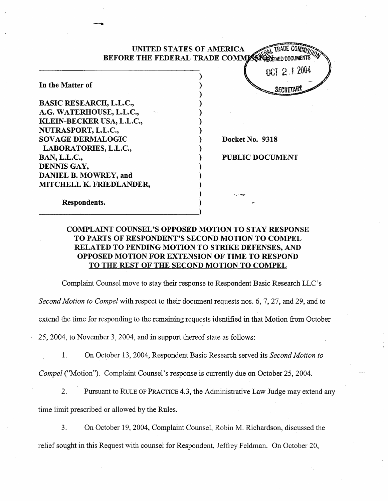|                                | <b>UNITED STATES OF AMERICA</b>   |
|--------------------------------|-----------------------------------|
|                                | BEFORE THE FEDERAL TRADE COMMISSE |
|                                | OCT 2.1.2004                      |
| In the Matter of               |                                   |
| <b>BASIC RESEARCH, L.L.C.,</b> |                                   |
| A.G. WATERHOUSE, L.L.C.,       |                                   |
| KLEIN-BECKER USA, L.L.C.,      |                                   |
| NUTRASPORT, L.L.C.,            |                                   |
| <b>SOVAGE DERMALOGIC</b>       | Docket No. 9318                   |
| LABORATORIES, L.L.C.,          |                                   |
| <b>BAN, L.L.C.,</b>            | <b>PUBLIC DOCUMENT</b>            |
| DENNIS GAY,                    |                                   |
| <b>DANIEL B. MOWREY, and</b>   |                                   |
| MITCHELL K. FRIEDLANDER,       |                                   |
|                                |                                   |
| Respondents.                   |                                   |

# COMPLAINT COUNSEL'S OPPOSED MOTION TO STAY RESPONSE TO PARTS OF RESPONDENT'S SECOND MOTION TO COMPEL RELATED TO PENDING MOTION TO STRIKE DEFENSES, AND OPPOSED MOTION FOR EXTENSION OF TIME TO RESPOND TO THE REST OF THE SECOND MOTION TO COMPEL

Complaint Counsel move to stay their response to Respondent Basic Research LLC' s

Second Motion to Compel with respect to their document requests nos. 6, 7, 27, and 29, and to

extend the time for responding to the remaining requests identified in that Motion from October

25, 2004, to November 3, 2004, and in support thereof state as follows:

On October 13 , 2004, Respondent Basic Research served its Second Motion to 1.

Compel ("Motion"). Complaint Counsel's response is currently due on October 25, 2004.

- Pursuant to RULE OF PRACTICE 4.3, the Administrative Law Judge may extend any 2. time limit prescribed or allowed by the Rules.
- $3.$ On October 19 , 2004, Complaint Counsel, Robin M. Richardson, discussed the relief sought in this Request with counsel for Respondent, Jeffrey Feldman. On October 20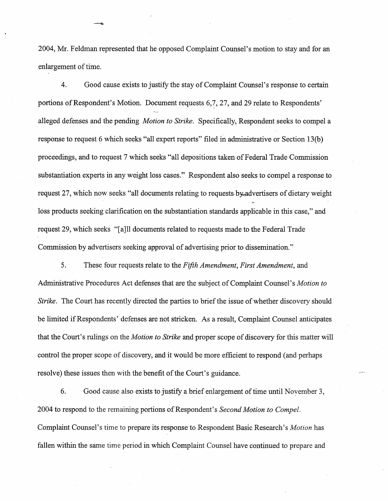2004, Mr. Feldman represented that he opposed Complaint Counsel's motion to stay and for an enlargement of time.

 $\overline{4}$ . Good cause exists to justify the stay of Complaint Counsel's response to certain portions of Respondent's Motion. Document requests 6,7, 27, and 29 relate to Respondents' alleged defenses and the pending Motion to Strike. Specifically, Respondent seeks to compel a response to request 6 which seeks "all expert reports" filed in administrative or Section 13(b) proceedings, and to request 7 which seeks "all depositions taken of Federal Trade Commission substantiation experts in any weight loss cases. " Respondent also seeks to compel a response to request 27, which now seeks "all documents relating to requests by advertisers of dietary weight loss products seeking clarification on the substantiation standards applicable in this case," and request 29, which seeks "(aJll documents related to requests made to the Federal Trade Commission by advertisers seeking approval of advertising prior to dissemination.

5. These four requests relate to the Fifth Amendment, First Amendment, and Administrative Procedures Act defenses that are the subject of Complaint Counsel's Motion to Strike. The Court has recently directed the parties to brief the issue of whether discovery should be limited if Respondents' defenses are not stricken. As a result, Complaint Counsel anticipates that the Court's rulings on the *Motion to Strike* and proper scope of discovery for this matter will control the proper scope of discovery, and it would be more efficient to respond (and perhaps resolve) these issues then with the benefit of the Court's guidance.

6. Good cause also exists to justify a brief enlargement of time until November 3, 2004 to respond to the remaining portions of Respondent's Second Motion to Compel. Complaint Counsel's time to prepare its response to Respondent Basic Research's Motion has fallen within the same time period in which Complaint Counsel have continued to prepare and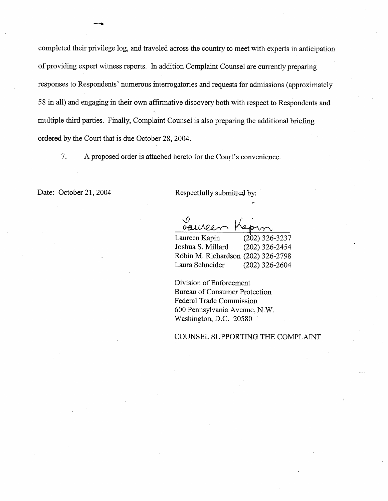completed their privilege log, and traveled across the country to meet with experts in anticipation of providing expert witness reports. In addition Complaint Counsel are currently preparing responses to Respondents' numerous interrogatories and requests for admissions (approximately 58 in all) and engaging in their own affirmative discovery both with respect to Respondents and multiple third paries. Finally, Complaint Counsel is also preparng the additional briefing ordered by the Court that is due October 28, 2004.

7. A proposed order is attached hereto for the Court's convenience.

Date: October 21, 2004 Respectfully submitted by:

Laureen Kapin (202) 326-<sup>3237</sup> Joshua S. Millard (202) 326-2454 Robin M. Richardson (202) 326-2798 Laura Schneider (202) 326-2604

Division of Enforcement Bureau of Consumer Protection Federal Trade Commission 600 Pennsylvania Avenue, N. Washington, D.C. 20580

COUNSEL SUPPORTING THE COMPLAIT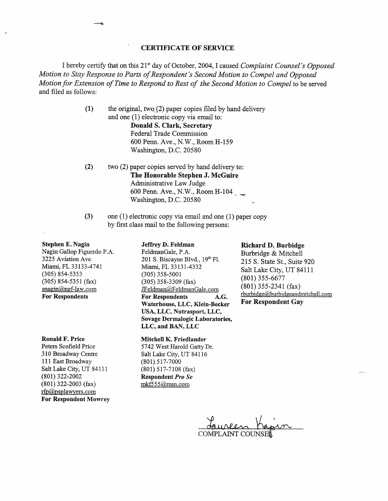### CERTIFICATE OF SERVICE

I hereby certify that on this 21<sup>st</sup> day of October, 2004, I caused Complaint Counsel's Opposed Motion to Stay Response to Parts of Respondent's Second Motion to Compel and Opposed Motion for Extension of Time to Respond to Rest of the Second Motion to Compel to be served and filed as follows:

> $(1)$  the original, two. (2) paper copies filed by hand delivery and one (I) electronic copy via email to:

> > Donald S. Clark, Secretary Federal Trade Commission 600 Penn. Ave., N.W., Room H-159 Washington, D.C. 20580

- (2) two (2) paper copies served by hand delivery to: The Honorahle Stephen J. McGuire Administrative Law Judge 600 Penn. Ave., N.W., Room H-104 Washington, D.C. 20580
- (3) one (1) electronic copy via email and one (1) paper copy by first class mail to the following persons:

Stephen E. Nagin Nagin Gallop Figuerdo P.A. 3225 Aviation Ave. Miami, FL 33133-4741 (305) 854-5353 (305) 854-5351 (fax)  $snagin@ngf-law.com$ For Respondents

#### Ronald F. Price

Peters Scofield Price 310 Broadway Centre III East Broadway Salt Lake City, UT 84111 (801) 322-2002 (801) 322-2003 (fax) rfp@psplawyers.com For Respondent Mowrey

#### Jeffrey D. Feldman

FeldmanGale, P.A. 201 S. Biscayne Blvd., 19th Fl. Miami, FL 33131-4332 (305) 358-5001 (305) 358-3309 (fax) JFeldman@FeldmanGale.com For Respondents A.G. Waterhouse, LLC, Klein-Becker USA, LLC, Nutrasport, LLC Sovage Dermalogic Laboratories, LLC, and BAN, LLC

#### Mitchell K. Friedlander

5742 West Harold Gatty Dr. Salt Lake City, UT 84116 (801) 517-7000 (801) 517-7108 (fax) Respondent Pro mkf555@msn.com

### Richard D. Burbidge

Burbridge & Mitchell 215 S. State St. , Suite 920 Salt Lake City, UT 84111 (801) 355-6677 (801) 355-2341 (fax) rburbidge@burbidgeandmitchell.com For Respondent Gay

 $\rho$ 

COMPLAINT COUNSE